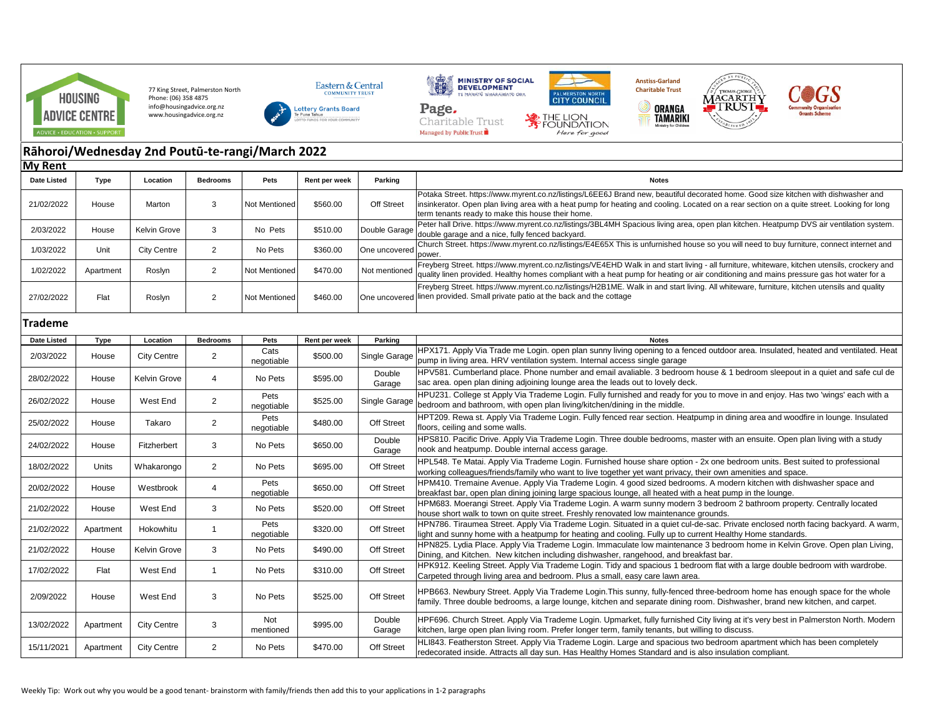

77 King Street, Palmerston North Phone: (06) 358 4875 info@housingadvice.org.nz www.housingadvice.org.nz





Charitable Trust

Managed by Public Trust





 $\circledcirc$ 



## **Rāhoroi/Wednesday 2nd Poutū-te-rangi/March 2022 My Rent**

| <b>Date Listed</b> | <b>Type</b> | Location           | <b>Bedrooms</b> | Pets               | Rent per week | Parking          | <b>Notes</b>                                                                                                                                                                                                                                                                                                                           |
|--------------------|-------------|--------------------|-----------------|--------------------|---------------|------------------|----------------------------------------------------------------------------------------------------------------------------------------------------------------------------------------------------------------------------------------------------------------------------------------------------------------------------------------|
| 21/02/2022         | House       | Marton             | 3               | Not Mentioned      | \$560.00      | Off Street       | Potaka Street. https://www.myrent.co.nz/listings/L6EE6J Brand new, beautiful decorated home. Good size kitchen with dishwasher and<br>insinkerator. Open plan living area with a heat pump for heating and cooling. Located on a rear section on a quite street. Looking for long<br>term tenants ready to make this house their home. |
| 2/03/2022          | House       | Kelvin Grove       | 3               | No Pets            | \$510.00      | Double Garage    | Peter hall Drive. https://www.myrent.co.nz/listings/3BL4MH Spacious living area, open plan kitchen. Heatpump DVS air ventilation system.<br>double garage and a nice, fully fenced backyard.                                                                                                                                           |
| 1/03/2022          | Unit        | <b>City Centre</b> | $\overline{2}$  | No Pets            | \$360.00      | One uncovered    | Church Street. https://www.myrent.co.nz/listings/E4E65X This is unfurnished house so you will need to buy furniture, connect internet and<br>power.                                                                                                                                                                                    |
| 1/02/2022          | Apartment   | Roslyn             | 2               | Not Mentioned      | \$470.00      | Not mentioned    | Freyberg Street. https://www.myrent.co.nz/listings/VE4EHD Walk in and start living - all furniture, whiteware, kitchen utensils, crockery and<br>quality linen provided. Healthy homes compliant with a heat pump for heating or air conditioning and mains pressure gas hot water for a                                               |
| 27/02/2022         | Flat        | Roslyn             | 2               | Not Mentioned      | \$460.00      | One uncovered    | Freyberg Street. https://www.myrent.co.nz/listings/H2B1ME. Walk in and start living. All whiteware, furniture, kitchen utensils and quality<br>linen provided. Small private patio at the back and the cottage                                                                                                                         |
| <b>Trademe</b>     |             |                    |                 |                    |               |                  |                                                                                                                                                                                                                                                                                                                                        |
| Date Listed        | Type        | Location           | <b>Bedrooms</b> | Pets               | Rent per week | Parking          | <b>Notes</b>                                                                                                                                                                                                                                                                                                                           |
| 2/03/2022          | House       | <b>City Centre</b> | $\overline{2}$  | Cats<br>negotiable | \$500.00      | Single Garage    | HPX171. Apply Via Trade me Login. open plan sunny living opening to a fenced outdoor area. Insulated, heated and ventilated. Heat<br>pump in living area. HRV ventilation system. Internal access single garage                                                                                                                        |
| 28/02/2022         | House       | Kelvin Grove       | $\overline{4}$  | No Pets            | \$595.00      | Double<br>Garage | HPV581. Cumberland place. Phone number and email avaliable. 3 bedroom house & 1 bedroom sleepout in a quiet and safe cul de<br>sac area. open plan dining adjoining lounge area the leads out to lovely deck.                                                                                                                          |
| 26/02/2022         | House       | West End           | $\overline{2}$  | Pets<br>negotiable | \$525.00      | Single Garage    | HPU231. College st Apply Via Trademe Login. Fully furnished and ready for you to move in and enjoy. Has two 'wings' each with a<br>bedroom and bathroom, with open plan living/kitchen/dining in the middle.                                                                                                                           |
| 25/02/2022         | House       | Takaro             | $\overline{2}$  | Pets<br>negotiable | \$480.00      | Off Street       | HPT209. Rewa st. Apply Via Trademe Login. Fully fenced rear section. Heatpump in dining area and woodfire in lounge. Insulated<br>floors, ceiling and some walls.                                                                                                                                                                      |
| 24/02/2022         | House       | Fitzherbert        | 3               | No Pets            | \$650.00      | Double<br>Garage | HPS810. Pacific Drive. Apply Via Trademe Login. Three double bedrooms, master with an ensuite. Open plan living with a study<br>nook and heatpump. Double internal access garage.                                                                                                                                                      |
| 18/02/2022         | Units       | Whakarongo         | $\overline{2}$  | No Pets            | \$695.00      | Off Street       | HPL548. Te Matai. Apply Via Trademe Login. Furnished house share option - 2x one bedroom units. Best suited to professional<br>working colleagues/friends/family who want to live together yet want privacy, their own amenities and space.                                                                                            |
| 20/02/2022         | House       | Westbrook          | $\overline{4}$  | Pets<br>negotiable | \$650.00      | Off Street       | HPM410. Tremaine Avenue. Apply Via Trademe Login. 4 good sized bedrooms. A modern kitchen with dishwasher space and<br>breakfast bar, open plan dining joining large spacious lounge, all heated with a heat pump in the lounge.                                                                                                       |
| 21/02/2022         | House       | West End           | 3               | No Pets            | \$520.00      | Off Street       | HPM683. Moerangi Street. Apply Via Trademe Login. A warm sunny modern 3 bedroom 2 bathroom property. Centrally located<br>house short walk to town on quite street. Freshly renovated low maintenance grounds.                                                                                                                         |
| 21/02/2022         | Apartment   | Hokowhitu          | $\mathbf{1}$    | Pets<br>negotiable | \$320.00      | Off Street       | HPN786. Tiraumea Street. Apply Via Trademe Login. Situated in a quiet cul-de-sac. Private enclosed north facing backyard. A warm,<br>light and sunny home with a heatpump for heating and cooling. Fully up to current Healthy Home standards.                                                                                         |
| 21/02/2022         | House       | Kelvin Grove       | 3               | No Pets            | \$490.00      | Off Street       | HPN825. Lydia Place. Apply Via Trademe Login. Immaculate low maintenance 3 bedroom home in Kelvin Grove. Open plan Living,<br>Dining, and Kitchen. New kitchen including dishwasher, rangehood, and breakfast bar.                                                                                                                     |
| 17/02/2022         | Flat        | West End           | $\mathbf{1}$    | No Pets            | \$310.00      | Off Street       | HPK912. Keeling Street. Apply Via Trademe Login. Tidy and spacious 1 bedroom flat with a large double bedroom with wardrobe.<br>Carpeted through living area and bedroom. Plus a small, easy care lawn area.                                                                                                                           |
| 2/09/2022          | House       | West End           | 3               | No Pets            | \$525.00      | Off Street       | HPB663. Newbury Street. Apply Via Trademe Login. This sunny, fully-fenced three-bedroom home has enough space for the whole<br>family. Three double bedrooms, a large lounge, kitchen and separate dining room. Dishwasher, brand new kitchen, and carpet.                                                                             |
| 13/02/2022         | Apartment   | <b>City Centre</b> | 3               | Not<br>mentioned   | \$995.00      | Double<br>Garage | HPF696. Church Street. Apply Via Trademe Login. Upmarket, fully furnished City living at it's very best in Palmerston North. Modern<br>kitchen, large open plan living room. Prefer longer term, family tenants, but willing to discuss.                                                                                               |
| 15/11/2021         | Apartment   | <b>City Centre</b> | $\overline{2}$  | No Pets            | \$470.00      | Off Street       | HLI843. Featherston Street. Apply Via Trademe Login. Large and spacious two bedroom apartment which has been completely<br>redecorated inside. Attracts all day sun. Has Healthy Homes Standard and is also insulation compliant.                                                                                                      |